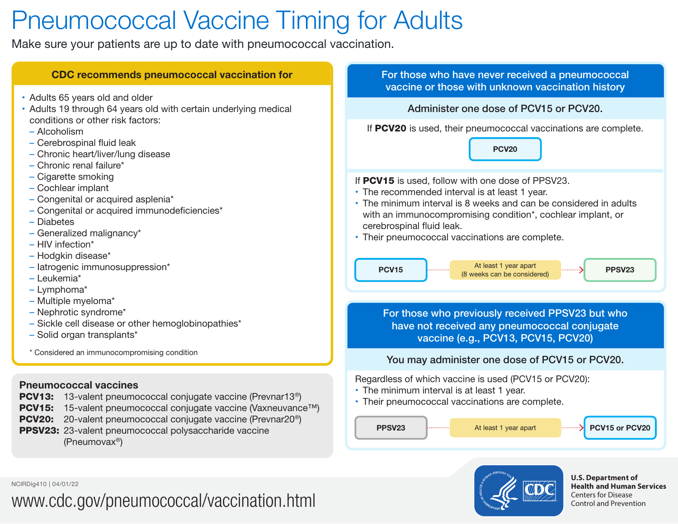# Pneumococcal Vaccine Timing for Adults

Make sure your patients are up to date with pneumococcal vaccination.

| <b>CDC recommends pneumococcal vaccination for</b>                                                                                                                                                                                                                                                                                                                                                                                                                                                                                                                                                                                                                                    | For those who have never received a pneumococcal<br>vaccine or those with unknown vaccination history                                                                                                                                                                                                                                                                                                                 |  |  |
|---------------------------------------------------------------------------------------------------------------------------------------------------------------------------------------------------------------------------------------------------------------------------------------------------------------------------------------------------------------------------------------------------------------------------------------------------------------------------------------------------------------------------------------------------------------------------------------------------------------------------------------------------------------------------------------|-----------------------------------------------------------------------------------------------------------------------------------------------------------------------------------------------------------------------------------------------------------------------------------------------------------------------------------------------------------------------------------------------------------------------|--|--|
| • Adults 65 years old and older<br>• Adults 19 through 64 years old with certain underlying medical<br>conditions or other risk factors:<br>- Alcoholism<br>- Cerebrospinal fluid leak<br>- Chronic heart/liver/lung disease<br>- Chronic renal failure*<br>- Cigarette smoking<br>- Cochlear implant<br>- Congenital or acquired asplenia*<br>- Congenital or acquired immunodeficiencies*<br>- Diabetes<br>- Generalized malignancy*<br>- HIV infection*<br>- Hodgkin disease*<br>- latrogenic immunosuppression*<br>- Leukemia*<br>- Lymphoma*<br>- Multiple myeloma*<br>- Nephrotic syndrome*<br>- Sickle cell disease or other hemoglobinopathies*<br>- Solid organ transplants* | Administer one dose of PCV15 or PCV20.                                                                                                                                                                                                                                                                                                                                                                                |  |  |
|                                                                                                                                                                                                                                                                                                                                                                                                                                                                                                                                                                                                                                                                                       | If PCV20 is used, their pneumococcal vaccinations are complete.<br><b>PCV20</b>                                                                                                                                                                                                                                                                                                                                       |  |  |
|                                                                                                                                                                                                                                                                                                                                                                                                                                                                                                                                                                                                                                                                                       | If PCV15 is used, follow with one dose of PPSV23.<br>• The recommended interval is at least 1 year.<br>• The minimum interval is 8 weeks and can be considered in adults<br>with an immunocompromising condition*, cochlear implant, or<br>cerebrospinal fluid leak.<br>• Their pneumococcal vaccinations are complete.<br>At least 1 year apart<br><b>PCV15</b><br>PPSV <sub>23</sub><br>(8 weeks can be considered) |  |  |
|                                                                                                                                                                                                                                                                                                                                                                                                                                                                                                                                                                                                                                                                                       | For those who previously received PPSV23 but who<br>have not received any pneumococcal conjugate<br>vaccine (e.g., PCV13, PCV15, PCV20)                                                                                                                                                                                                                                                                               |  |  |
| * Considered an immunocompromising condition                                                                                                                                                                                                                                                                                                                                                                                                                                                                                                                                                                                                                                          | You may administer one dose of PCV15 or PCV20.                                                                                                                                                                                                                                                                                                                                                                        |  |  |
| <b>Pneumococcal vaccines</b><br><b>PCV13:</b> 13-valent pneumococcal conjugate vaccine (Prevnar13 <sup>®</sup> )<br>15-valent pneumococcal conjugate vaccine (Vaxneuvance™)<br><b>PCV15:</b><br>20-valent pneumococcal conjugate vaccine (Prevnar20 <sup>®</sup> )<br><b>PCV20:</b><br>PPSV23: 23-valent pneumococcal polysaccharide vaccine<br>(Pneumovax <sup>®</sup> )                                                                                                                                                                                                                                                                                                             | Regardless of which vaccine is used (PCV15 or PCV20):<br>• The minimum interval is at least 1 year.<br>• Their pneumococcal vaccinations are complete.<br>PCV15 or PCV20<br><b>PPSV23</b><br>At least 1 year apart<br>.                                                                                                                                                                                               |  |  |
|                                                                                                                                                                                                                                                                                                                                                                                                                                                                                                                                                                                                                                                                                       |                                                                                                                                                                                                                                                                                                                                                                                                                       |  |  |

**Health and Human Services** 

Centers for Disease Control and Prevention

NCIRDig410 | 04/01/22 **U.S. Department of and the contract of and the contract of and the contract of and the contract of and the contract of and the contract of and the contract of and the contract of and the contract of** 

## [www.cdc.gov/pneumococcal/vaccination.html](https://www.cdc.gov/pneumococcal/vaccination.html)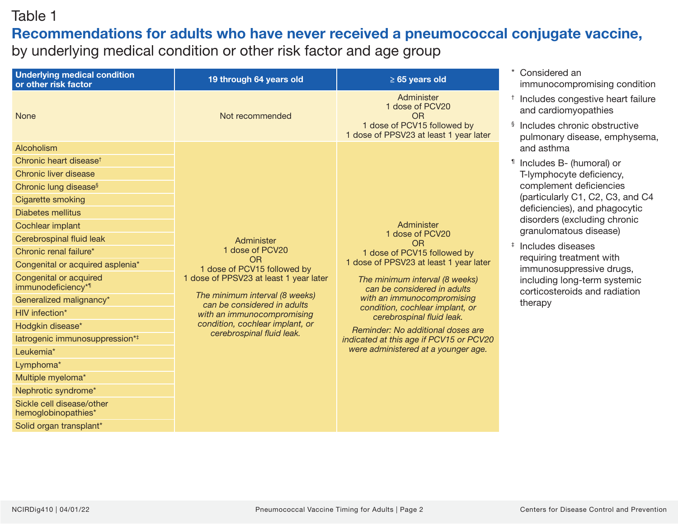#### Table 1

## Recommendations for adults who have never received a pneumococcal conjugate vaccine,

by underlying medical condition or other risk factor and age group

| <b>Underlying medical condition</b><br>or other risk factor | 19 through 64 years old                                       | $\geq 65$ years old                                                                                                                                                                                                                                                                                                                                                                                       | Considered an<br>immunocompromising condition                                                                                                        |
|-------------------------------------------------------------|---------------------------------------------------------------|-----------------------------------------------------------------------------------------------------------------------------------------------------------------------------------------------------------------------------------------------------------------------------------------------------------------------------------------------------------------------------------------------------------|------------------------------------------------------------------------------------------------------------------------------------------------------|
| <b>None</b>                                                 | Not recommended                                               | Administer<br>1 dose of PCV20<br><b>OR</b>                                                                                                                                                                                                                                                                                                                                                                | Includes congestive heart failure<br>and cardiomyopathies                                                                                            |
|                                                             |                                                               | 1 dose of PCV15 followed by<br>1 dose of PPSV23 at least 1 year later                                                                                                                                                                                                                                                                                                                                     | Includes chronic obstructive<br>Ş<br>pulmonary disease, emphysema,                                                                                   |
| Alcoholism                                                  |                                                               | Administer<br>1 dose of PCV20<br><b>OR</b><br>1 dose of PCV15 followed by<br>1 dose of PPSV23 at least 1 year later<br>The minimum interval (8 weeks)<br>can be considered in adults<br>with an immunocompromising<br>condition, cochlear implant, or<br>cerebrospinal fluid leak.<br>Reminder: No additional doses are<br>indicated at this age if PCV15 or PCV20<br>were administered at a younger age. | and asthma                                                                                                                                           |
| Chronic heart disease <sup>t</sup>                          |                                                               |                                                                                                                                                                                                                                                                                                                                                                                                           | Includes B- (humoral) or<br>T-lymphocyte deficiency,<br>complement deficiencies<br>(particularly C1, C2, C3, and C4<br>deficiencies), and phagocytic |
| Chronic liver disease                                       |                                                               |                                                                                                                                                                                                                                                                                                                                                                                                           |                                                                                                                                                      |
| Chronic lung disease <sup>§</sup>                           |                                                               |                                                                                                                                                                                                                                                                                                                                                                                                           |                                                                                                                                                      |
| Cigarette smoking                                           |                                                               |                                                                                                                                                                                                                                                                                                                                                                                                           |                                                                                                                                                      |
| <b>Diabetes mellitus</b>                                    |                                                               |                                                                                                                                                                                                                                                                                                                                                                                                           | disorders (excluding chronic                                                                                                                         |
| Cochlear implant                                            | Administer<br>1 dose of PCV20<br><b>OR</b>                    |                                                                                                                                                                                                                                                                                                                                                                                                           | granulomatous disease)                                                                                                                               |
| Cerebrospinal fluid leak                                    |                                                               |                                                                                                                                                                                                                                                                                                                                                                                                           | $\ddagger$<br>Includes diseases                                                                                                                      |
| Chronic renal failure*                                      |                                                               |                                                                                                                                                                                                                                                                                                                                                                                                           | requiring treatment with                                                                                                                             |
| Congenital or acquired asplenia*                            | 1 dose of PCV15 followed by                                   |                                                                                                                                                                                                                                                                                                                                                                                                           | immunosuppressive drugs,                                                                                                                             |
| Congenital or acquired<br>immunodeficiency* <sup>1</sup>    | 1 dose of PPSV23 at least 1 year later                        |                                                                                                                                                                                                                                                                                                                                                                                                           | including long-term systemic<br>corticosteroids and radiation                                                                                        |
| Generalized malignancy*                                     | The minimum interval (8 weeks)<br>can be considered in adults |                                                                                                                                                                                                                                                                                                                                                                                                           | therapy                                                                                                                                              |
| HIV infection*                                              | with an immunocompromising                                    |                                                                                                                                                                                                                                                                                                                                                                                                           |                                                                                                                                                      |
| Hodgkin disease*                                            | condition, cochlear implant, or<br>cerebrospinal fluid leak.  |                                                                                                                                                                                                                                                                                                                                                                                                           |                                                                                                                                                      |
| latrogenic immunosuppression* <sup>‡</sup>                  |                                                               |                                                                                                                                                                                                                                                                                                                                                                                                           |                                                                                                                                                      |
| Leukemia*                                                   |                                                               |                                                                                                                                                                                                                                                                                                                                                                                                           |                                                                                                                                                      |
| Lymphoma*                                                   |                                                               |                                                                                                                                                                                                                                                                                                                                                                                                           |                                                                                                                                                      |
| Multiple myeloma*                                           |                                                               |                                                                                                                                                                                                                                                                                                                                                                                                           |                                                                                                                                                      |
| Nephrotic syndrome*                                         |                                                               |                                                                                                                                                                                                                                                                                                                                                                                                           |                                                                                                                                                      |
| Sickle cell disease/other<br>hemoglobinopathies*            |                                                               |                                                                                                                                                                                                                                                                                                                                                                                                           |                                                                                                                                                      |
| Solid organ transplant*                                     |                                                               |                                                                                                                                                                                                                                                                                                                                                                                                           |                                                                                                                                                      |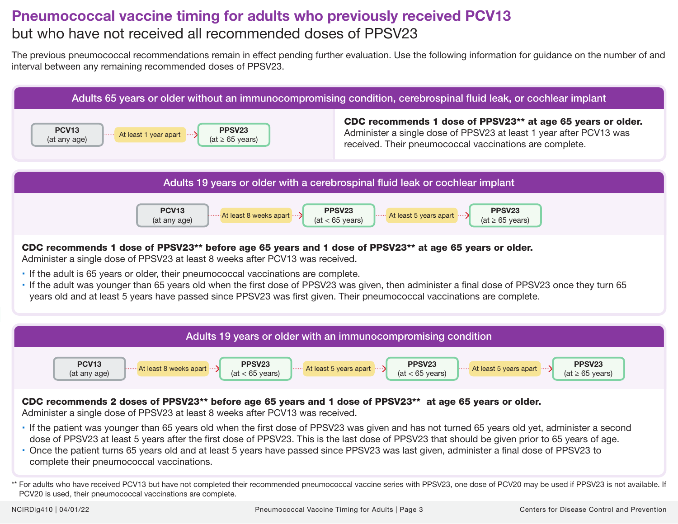### Pneumococcal vaccine timing for adults who previously received PCV13 but who have not received all recommended doses of PPSV23

The previous pneumococcal recommendations remain in effect pending further evaluation. Use the following information for guidance on the number of and interval between any remaining recommended doses of PPSV23.



#### CDC recommends 1 dose of PPSV23\*\* before age 65 years and 1 dose of PPSV23\*\* at age 65 years or older.

Administer a single dose of PPSV23 at least 8 weeks after PCV13 was received.

- If the adult is 65 years or older, their pneumococcal vaccinations are complete.
- If the adult was younger than 65 years old when the first dose of PPSV23 was given, then administer a final dose of PPSV23 once they turn 65 years old and at least 5 years have passed since PPSV23 was first given. Their pneumococcal vaccinations are complete.



#### CDC recommends 2 doses of PPSV23\*\* before age 65 years and 1 dose of PPSV23\*\* at age 65 years or older.

Administer a single dose of PPSV23 at least 8 weeks after PCV13 was received.

- If the patient was younger than 65 years old when the first dose of PPSV23 was given and has not turned 65 years old yet, administer a second dose of PPSV23 at least 5 years after the first dose of PPSV23. This is the last dose of PPSV23 that should be given prior to 65 years of age.
- Once the patient turns 65 years old and at least 5 years have passed since PPSV23 was last given, administer a final dose of PPSV23 to complete their pneumococcal vaccinations.

<sup>\*\*</sup> For adults who have received PCV13 but have not completed their recommended pneumococcal vaccine series with PPSV23, one dose of PCV20 may be used if PPSV23 is not available. If PCV20 is used, their pneumococcal vaccinations are complete.